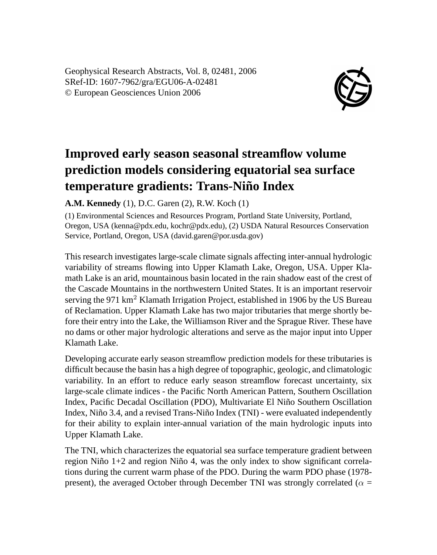Geophysical Research Abstracts, Vol. 8, 02481, 2006 SRef-ID: 1607-7962/gra/EGU06-A-02481 © European Geosciences Union 2006



## **Improved early season seasonal streamflow volume prediction models considering equatorial sea surface temperature gradients: Trans-Niño Index**

**A.M. Kennedy** (1), D.C. Garen (2), R.W. Koch (1)

(1) Environmental Sciences and Resources Program, Portland State University, Portland, Oregon, USA (kenna@pdx.edu, kochr@pdx.edu), (2) USDA Natural Resources Conservation Service, Portland, Oregon, USA (david.garen@por.usda.gov)

This research investigates large-scale climate signals affecting inter-annual hydrologic variability of streams flowing into Upper Klamath Lake, Oregon, USA. Upper Klamath Lake is an arid, mountainous basin located in the rain shadow east of the crest of the Cascade Mountains in the northwestern United States. It is an important reservoir serving the 971 km<sup>2</sup> Klamath Irrigation Project, established in 1906 by the US Bureau of Reclamation. Upper Klamath Lake has two major tributaries that merge shortly before their entry into the Lake, the Williamson River and the Sprague River. These have no dams or other major hydrologic alterations and serve as the major input into Upper Klamath Lake.

Developing accurate early season streamflow prediction models for these tributaries is difficult because the basin has a high degree of topographic, geologic, and climatologic variability. In an effort to reduce early season streamflow forecast uncertainty, six large-scale climate indices - the Pacific North American Pattern, Southern Oscillation Index, Pacific Decadal Oscillation (PDO), Multivariate El Niño Southern Oscillation Index, Niño 3.4, and a revised Trans-Niño Index (TNI) - were evaluated independently for their ability to explain inter-annual variation of the main hydrologic inputs into Upper Klamath Lake.

The TNI, which characterizes the equatorial sea surface temperature gradient between region Niño 1+2 and region Niño 4, was the only index to show significant correlations during the current warm phase of the PDO. During the warm PDO phase (1978 present), the averaged October through December TNI was strongly correlated ( $\alpha$  =